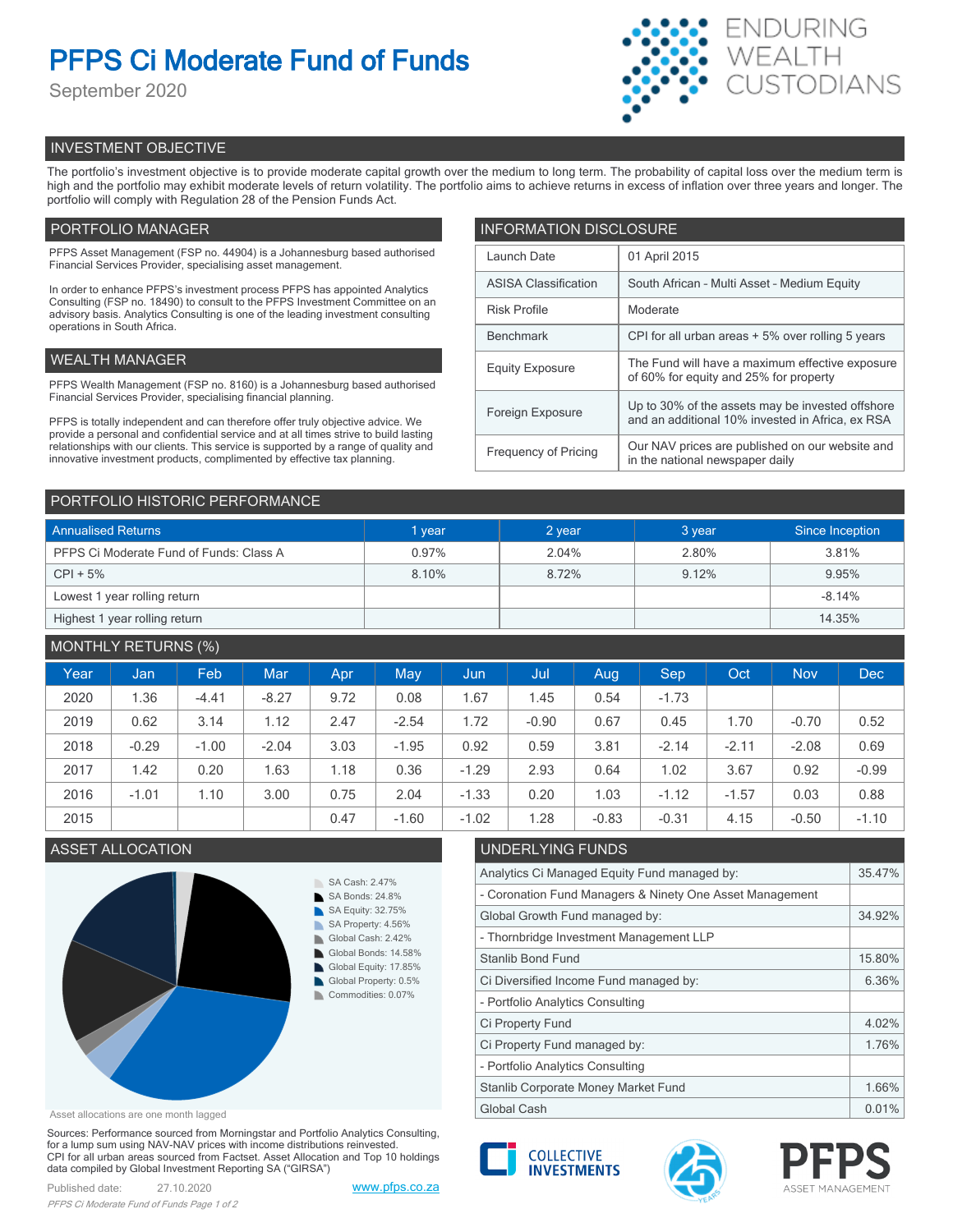# **PFPS Ci Moderate Fund of Funds**

September 2020



# INVESTMENT OBJECTIVE

The portfolio's investment objective is to provide moderate capital growth over the medium to long term. The probability of capital loss over the medium term is high and the portfolio may exhibit moderate levels of return volatility. The portfolio aims to achieve returns in excess of inflation over three years and longer. The portfolio will comply with Regulation 28 of the Pension Funds Act.

# PORTFOLIO MANAGER

PFPS Asset Management (FSP no. 44904) is a Johannesburg based authorised Financial Services Provider, specialising asset management.

In order to enhance PFPS's investment process PFPS has appointed Analytics Consulting (FSP no. 18490) to consult to the PFPS Investment Committee on an advisory basis. Analytics Consulting is one of the leading investment consulting operations in South Africa.

# WEALTH MANAGER

PFPS Wealth Management (FSP no. 8160) is a Johannesburg based authorised Financial Services Provider, specialising financial planning.

PFPS is totally independent and can therefore offer truly objective advice. We provide a personal and confidential service and at all times strive to build lasting relationships with our clients. This service is supported by a range of quality and innovative investment products, complimented by effective tax planning.

| <b>INFORMATION DISCLOSURE</b> |                                                                                                      |  |  |  |
|-------------------------------|------------------------------------------------------------------------------------------------------|--|--|--|
| Launch Date                   | 01 April 2015                                                                                        |  |  |  |
| <b>ASISA Classification</b>   | South African - Multi Asset - Medium Equity                                                          |  |  |  |
| <b>Risk Profile</b>           | Moderate                                                                                             |  |  |  |
| <b>Benchmark</b>              | CPI for all urban areas + 5% over rolling 5 years                                                    |  |  |  |
| <b>Equity Exposure</b>        | The Fund will have a maximum effective exposure<br>of 60% for equity and 25% for property            |  |  |  |
| Foreign Exposure              | Up to 30% of the assets may be invested offshore<br>and an additional 10% invested in Africa, ex RSA |  |  |  |
| <b>Frequency of Pricing</b>   | Our NAV prices are published on our website and<br>in the national newspaper daily                   |  |  |  |

## PORTFOLIO HISTORIC PERFORMANCE

| <b>Annualised Returns</b>               | 1 year | 2 year | 3 year | Since Inception |
|-----------------------------------------|--------|--------|--------|-----------------|
| PFPS Ci Moderate Fund of Funds: Class A | 0.97%  | 2.04%  | 2.80%  | 3.81%           |
| $CPI + 5%$                              | 8.10%  | 8.72%  | 9.12%  | 9.95%           |
| Lowest 1 year rolling return            |        |        |        | $-8.14%$        |
| Highest 1 year rolling return           |        |        |        | 14.35%          |

# MONTHLY RETURNS (%)

| Year | Jan     | Feb     | <b>Mar</b> | <b>Apr</b> | May     | Jun         | Jul     | Aug.    | <b>Sep</b> | Oct     | <b>Nov</b> | <b>Dec</b> |
|------|---------|---------|------------|------------|---------|-------------|---------|---------|------------|---------|------------|------------|
| 2020 | 1.36    | $-4.41$ | $-8.27$    | 9.72       | 0.08    | <b>1.67</b> | 1.45    | 0.54    | $-1.73$    |         |            |            |
| 2019 | 0.62    | 3.14    | 1.12       | 2.47       | $-2.54$ | .72         | $-0.90$ | 0.67    | 0.45       | 1.70    | $-0.70$    | 0.52       |
| 2018 | $-0.29$ | $-1.00$ | $-2.04$    | 3.03       | $-1.95$ | 0.92        | 0.59    | 3.81    | $-2.14$    | $-2.11$ | $-2.08$    | 0.69       |
| 2017 | 1.42    | 0.20    | 1.63       | 1.18       | 0.36    | $-1.29$     | 2.93    | 0.64    | 1.02       | 3.67    | 0.92       | $-0.99$    |
| 2016 | $-1.01$ | 1.10    | 3.00       | 0.75       | 2.04    | $-1.33$     | 0.20    | 1.03    | $-1.12$    | $-1.57$ | 0.03       | 0.88       |
| 2015 |         |         |            | 0.47       | $-1.60$ | $-1.02$     | 1.28    | $-0.83$ | $-0.31$    | 4.15    | $-0.50$    | $-1.10$    |

# ASSET ALLOCATION UNDERLYING FUNDS



Asset allocations are one month lagged

Sources: Performance sourced from Morningstar and Portfolio Analytics Consulting, for a lump sum using NAV-NAV prices with income distributions reinvested. CPI for all urban areas sourced from Factset. Asset Allocation and Top 10 holdings data compiled by Global Investment Reporting SA ("GIRSA")

| Analytics Ci Managed Equity Fund managed by:             |        |  |
|----------------------------------------------------------|--------|--|
| - Coronation Fund Managers & Ninety One Asset Management |        |  |
| Global Growth Fund managed by:                           |        |  |
| - Thornbridge Investment Management LLP                  |        |  |
| <b>Stanlib Bond Fund</b>                                 | 15.80% |  |
| Ci Diversified Income Fund managed by:                   |        |  |
| - Portfolio Analytics Consulting                         |        |  |
| Ci Property Fund                                         | 4.02%  |  |
| Ci Property Fund managed by:                             | 1.76%  |  |
| - Portfolio Analytics Consulting                         |        |  |
| Stanlib Corporate Money Market Fund                      |        |  |
| Global Cash                                              |        |  |